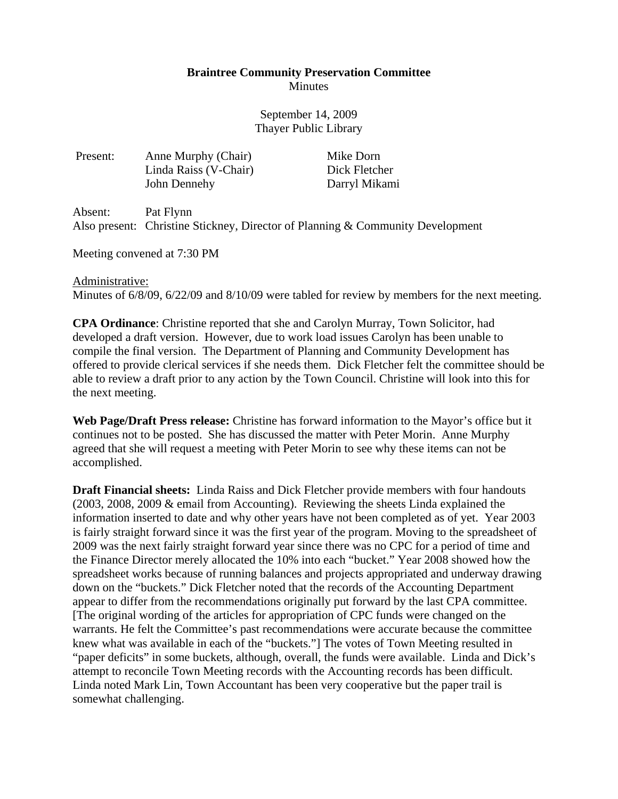## **Braintree Community Preservation Committee Minutes**

September 14, 2009 Thayer Public Library

Present: Anne Murphy (Chair) Mike Dorn Linda Raiss (V-Chair) Dick Fletcher John Dennehy Darryl Mikami

Absent: Pat Flynn Also present: Christine Stickney, Director of Planning & Community Development

Meeting convened at 7:30 PM

## Administrative:

Minutes of 6/8/09, 6/22/09 and 8/10/09 were tabled for review by members for the next meeting.

**CPA Ordinance**: Christine reported that she and Carolyn Murray, Town Solicitor, had developed a draft version. However, due to work load issues Carolyn has been unable to compile the final version. The Department of Planning and Community Development has offered to provide clerical services if she needs them. Dick Fletcher felt the committee should be able to review a draft prior to any action by the Town Council. Christine will look into this for the next meeting.

**Web Page/Draft Press release:** Christine has forward information to the Mayor's office but it continues not to be posted. She has discussed the matter with Peter Morin. Anne Murphy agreed that she will request a meeting with Peter Morin to see why these items can not be accomplished.

**Draft Financial sheets:** Linda Raiss and Dick Fletcher provide members with four handouts (2003, 2008, 2009 & email from Accounting). Reviewing the sheets Linda explained the information inserted to date and why other years have not been completed as of yet. Year 2003 is fairly straight forward since it was the first year of the program. Moving to the spreadsheet of 2009 was the next fairly straight forward year since there was no CPC for a period of time and the Finance Director merely allocated the 10% into each "bucket." Year 2008 showed how the spreadsheet works because of running balances and projects appropriated and underway drawing down on the "buckets." Dick Fletcher noted that the records of the Accounting Department appear to differ from the recommendations originally put forward by the last CPA committee. [The original wording of the articles for appropriation of CPC funds were changed on the warrants. He felt the Committee's past recommendations were accurate because the committee knew what was available in each of the "buckets."] The votes of Town Meeting resulted in "paper deficits" in some buckets, although, overall, the funds were available. Linda and Dick's attempt to reconcile Town Meeting records with the Accounting records has been difficult. Linda noted Mark Lin, Town Accountant has been very cooperative but the paper trail is somewhat challenging.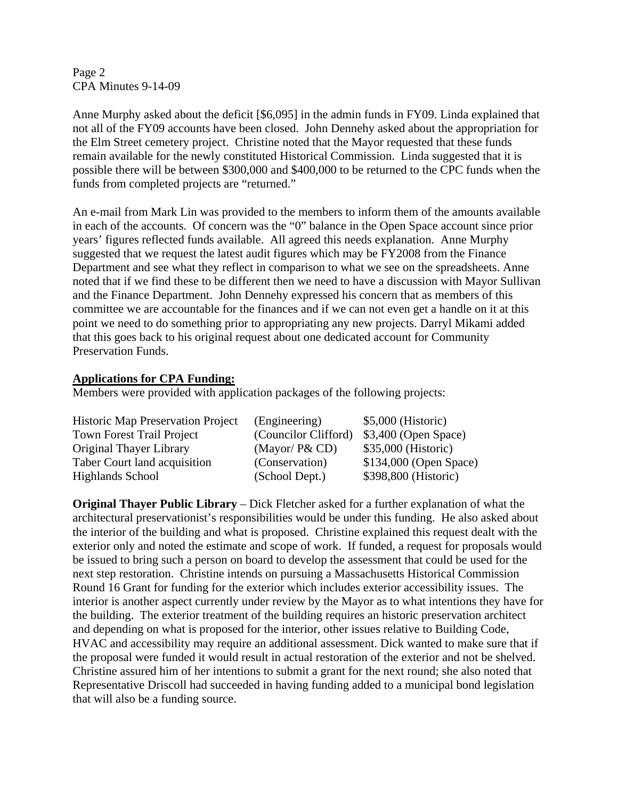Page 2 CPA Minutes 9-14-09

Anne Murphy asked about the deficit [\$6,095] in the admin funds in FY09. Linda explained that not all of the FY09 accounts have been closed. John Dennehy asked about the appropriation for the Elm Street cemetery project. Christine noted that the Mayor requested that these funds remain available for the newly constituted Historical Commission. Linda suggested that it is possible there will be between \$300,000 and \$400,000 to be returned to the CPC funds when the funds from completed projects are "returned."

An e-mail from Mark Lin was provided to the members to inform them of the amounts available in each of the accounts. Of concern was the "0" balance in the Open Space account since prior years' figures reflected funds available. All agreed this needs explanation. Anne Murphy suggested that we request the latest audit figures which may be FY2008 from the Finance Department and see what they reflect in comparison to what we see on the spreadsheets. Anne noted that if we find these to be different then we need to have a discussion with Mayor Sullivan and the Finance Department. John Dennehy expressed his concern that as members of this committee we are accountable for the finances and if we can not even get a handle on it at this point we need to do something prior to appropriating any new projects. Darryl Mikami added that this goes back to his original request about one dedicated account for Community Preservation Funds.

## **Applications for CPA Funding:**

Members were provided with application packages of the following projects:

| <b>Historic Map Preservation Project</b> | (Engineering)        | $$5,000$ (Historic)    |
|------------------------------------------|----------------------|------------------------|
| <b>Town Forest Trail Project</b>         | (Councilor Clifford) | $$3,400$ (Open Space)  |
| Original Thayer Library                  | (Mayor/P&CD)         | \$35,000 (Historic)    |
| Taber Court land acquisition             | (Conservation)       | \$134,000 (Open Space) |
| <b>Highlands School</b>                  | (School Dept.)       | \$398,800 (Historic)   |

**Original Thayer Public Library** – Dick Fletcher asked for a further explanation of what the architectural preservationist's responsibilities would be under this funding. He also asked about the interior of the building and what is proposed. Christine explained this request dealt with the exterior only and noted the estimate and scope of work. If funded, a request for proposals would be issued to bring such a person on board to develop the assessment that could be used for the next step restoration. Christine intends on pursuing a Massachusetts Historical Commission Round 16 Grant for funding for the exterior which includes exterior accessibility issues. The interior is another aspect currently under review by the Mayor as to what intentions they have for the building. The exterior treatment of the building requires an historic preservation architect and depending on what is proposed for the interior, other issues relative to Building Code, HVAC and accessibility may require an additional assessment. Dick wanted to make sure that if the proposal were funded it would result in actual restoration of the exterior and not be shelved. Christine assured him of her intentions to submit a grant for the next round; she also noted that Representative Driscoll had succeeded in having funding added to a municipal bond legislation that will also be a funding source.